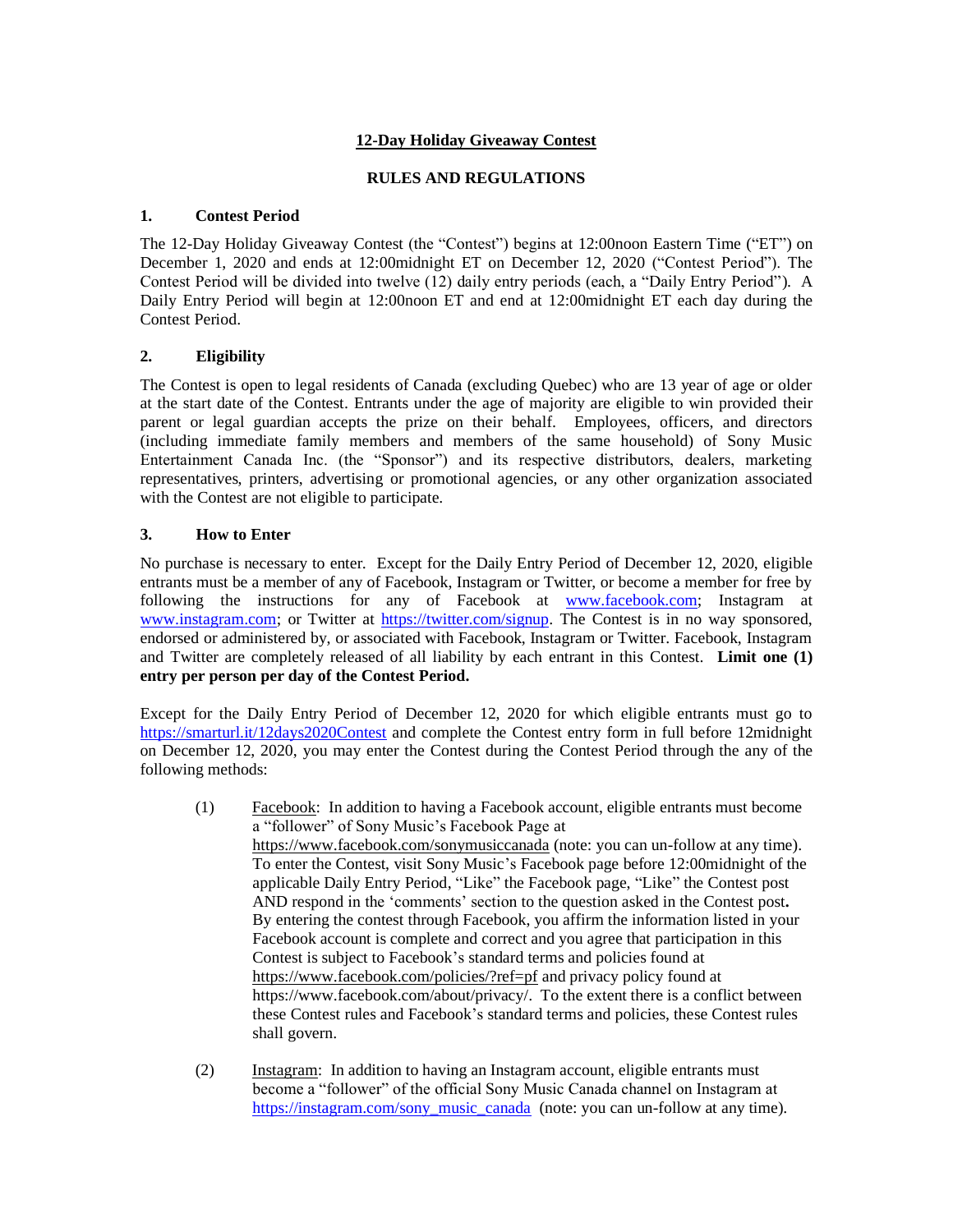# **12-Day Holiday Giveaway Contest**

#### **RULES AND REGULATIONS**

#### **1. Contest Period**

The 12-Day Holiday Giveaway Contest (the "Contest") begins at 12:00noon Eastern Time ("ET") on December 1, 2020 and ends at 12:00midnight ET on December 12, 2020 ("Contest Period"). The Contest Period will be divided into twelve (12) daily entry periods (each, a "Daily Entry Period"). A Daily Entry Period will begin at 12:00noon ET and end at 12:00midnight ET each day during the Contest Period.

## **2. Eligibility**

The Contest is open to legal residents of Canada (excluding Quebec) who are 13 year of age or older at the start date of the Contest. Entrants under the age of majority are eligible to win provided their parent or legal guardian accepts the prize on their behalf. Employees, officers, and directors (including immediate family members and members of the same household) of Sony Music Entertainment Canada Inc. (the "Sponsor") and its respective distributors, dealers, marketing representatives, printers, advertising or promotional agencies, or any other organization associated with the Contest are not eligible to participate.

#### **3. How to Enter**

No purchase is necessary to enter. Except for the Daily Entry Period of December 12, 2020, eligible entrants must be a member of any of Facebook, Instagram or Twitter, or become a member for free by following the instructions for any of Facebook at [www.facebook.com;](http://www.facebook.com/) Instagram at [www.instagram.com;](http://www.instagram.com/) or Twitter at [https://twitter.com/signup.](https://twitter.com/signup) The Contest is in no way sponsored, endorsed or administered by, or associated with Facebook, Instagram or Twitter. Facebook, Instagram and Twitter are completely released of all liability by each entrant in this Contest. **Limit one (1) entry per person per day of the Contest Period.**

Except for the Daily Entry Period of December 12, 2020 for which eligible entrants must go to <https://smarturl.it/12days2020Contest> and complete the Contest entry form in full before 12midnight on December 12, 2020, you may enter the Contest during the Contest Period through the any of the following methods:

- (1) Facebook: In addition to having a Facebook account, eligible entrants must become a "follower" of Sony Music's Facebook Page at <https://www.facebook.com/sonymusiccanada> (note: you can un-follow at any time). To enter the Contest, visit Sony Music's Facebook page before 12:00midnight of the applicable Daily Entry Period, "Like" the Facebook page, "Like" the Contest post AND respond in the 'comments' section to the question asked in the Contest post**.** By entering the contest through Facebook, you affirm the information listed in your Facebook account is complete and correct and you agree that participation in this Contest is subject to Facebook's standard terms and policies found at <https://www.facebook.com/policies/?ref=pf> and privacy policy found at https://www.facebook.com/about/privacy/. To the extent there is a conflict between these Contest rules and Facebook's standard terms and policies, these Contest rules shall govern.
- (2) Instagram: In addition to having an Instagram account, eligible entrants must become a "follower" of the official Sony Music Canada channel on Instagram at [https://instagram.com/sony\\_music\\_canada](https://instagram.com/sony_music_canada) (note: you can un-follow at any time).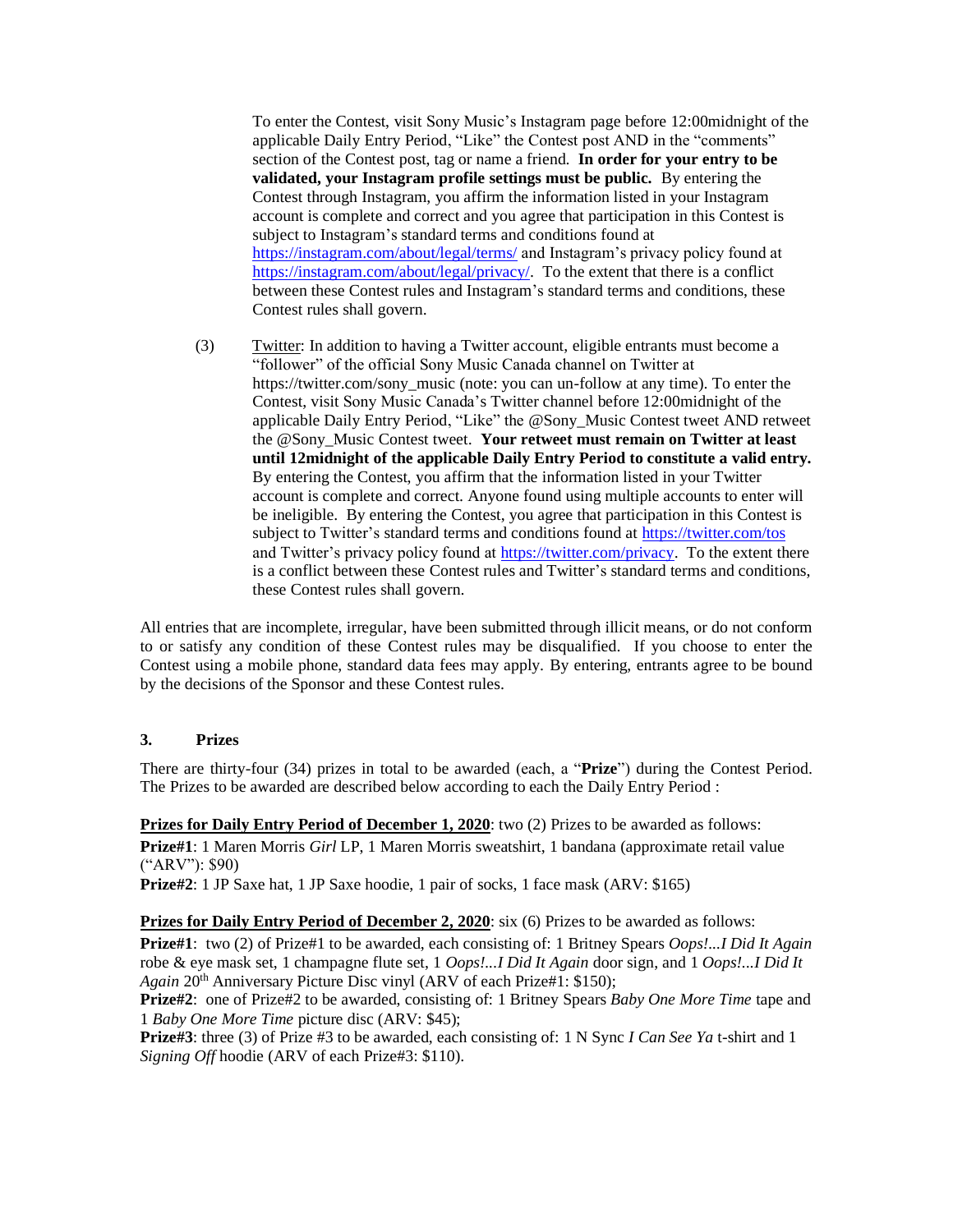To enter the Contest, visit Sony Music's Instagram page before 12:00midnight of the applicable Daily Entry Period, "Like" the Contest post AND in the "comments" section of the Contest post, tag or name a friend. **In order for your entry to be validated, your Instagram profile settings must be public.** By entering the Contest through Instagram, you affirm the information listed in your Instagram account is complete and correct and you agree that participation in this Contest is subject to Instagram's standard terms and conditions found at <https://instagram.com/about/legal/terms/> and Instagram's privacy policy found at [https://instagram.com/about/legal/privacy/.](https://instagram.com/about/legal/privacy/) To the extent that there is a conflict between these Contest rules and Instagram's standard terms and conditions, these Contest rules shall govern.

(3) Twitter: In addition to having a Twitter account, eligible entrants must become a "follower" of the official Sony Music Canada channel on Twitter at https://twitter.com/sony\_music (note: you can un-follow at any time). To enter the Contest, visit Sony Music Canada's Twitter channel before 12:00midnight of the applicable Daily Entry Period, "Like" the @Sony\_Music Contest tweet AND retweet the @Sony\_Music Contest tweet. **Your retweet must remain on Twitter at least until 12midnight of the applicable Daily Entry Period to constitute a valid entry.** By entering the Contest, you affirm that the information listed in your Twitter account is complete and correct. Anyone found using multiple accounts to enter will be ineligible. By entering the Contest, you agree that participation in this Contest is subject to Twitter's standard terms and conditions found at<https://twitter.com/tos> and Twitter's privacy policy found at [https://twitter.com/privacy.](https://twitter.com/privacy) To the extent there is a conflict between these Contest rules and Twitter's standard terms and conditions, these Contest rules shall govern.

All entries that are incomplete, irregular, have been submitted through illicit means, or do not conform to or satisfy any condition of these Contest rules may be disqualified. If you choose to enter the Contest using a mobile phone, standard data fees may apply. By entering, entrants agree to be bound by the decisions of the Sponsor and these Contest rules.

## **3. Prizes**

There are thirty-four (34) prizes in total to be awarded (each, a "**Prize**") during the Contest Period. The Prizes to be awarded are described below according to each the Daily Entry Period :

**Prizes for Daily Entry Period of December 1, 2020**: two (2) Prizes to be awarded as follows: **Prize#1**: 1 Maren Morris *Girl* LP, 1 Maren Morris sweatshirt, 1 bandana (approximate retail value ("ARV"): \$90)

**Prize#2**: 1 JP Saxe hat, 1 JP Saxe hoodie, 1 pair of socks, 1 face mask (ARV: \$165)

**Prizes for Daily Entry Period of December 2, 2020**: six (6) Prizes to be awarded as follows:

**Prize#1**: two (2) of Prize#1 to be awarded, each consisting of: 1 Britney Spears *Oops!...I Did It Again* robe & eye mask set, 1 champagne flute set, 1 *Oops!...I Did It Again* door sign, and 1 *Oops!...I Did It Again* 20th Anniversary Picture Disc vinyl (ARV of each Prize#1: \$150);

**Prize#2**: one of Prize#2 to be awarded, consisting of: 1 Britney Spears *Baby One More Time* tape and 1 *Baby One More Time* picture disc (ARV: \$45);

**Prize#3**: three (3) of Prize #3 to be awarded, each consisting of: 1 N Sync *I Can See Ya* t-shirt and 1 *Signing Off* hoodie (ARV of each Prize#3: \$110).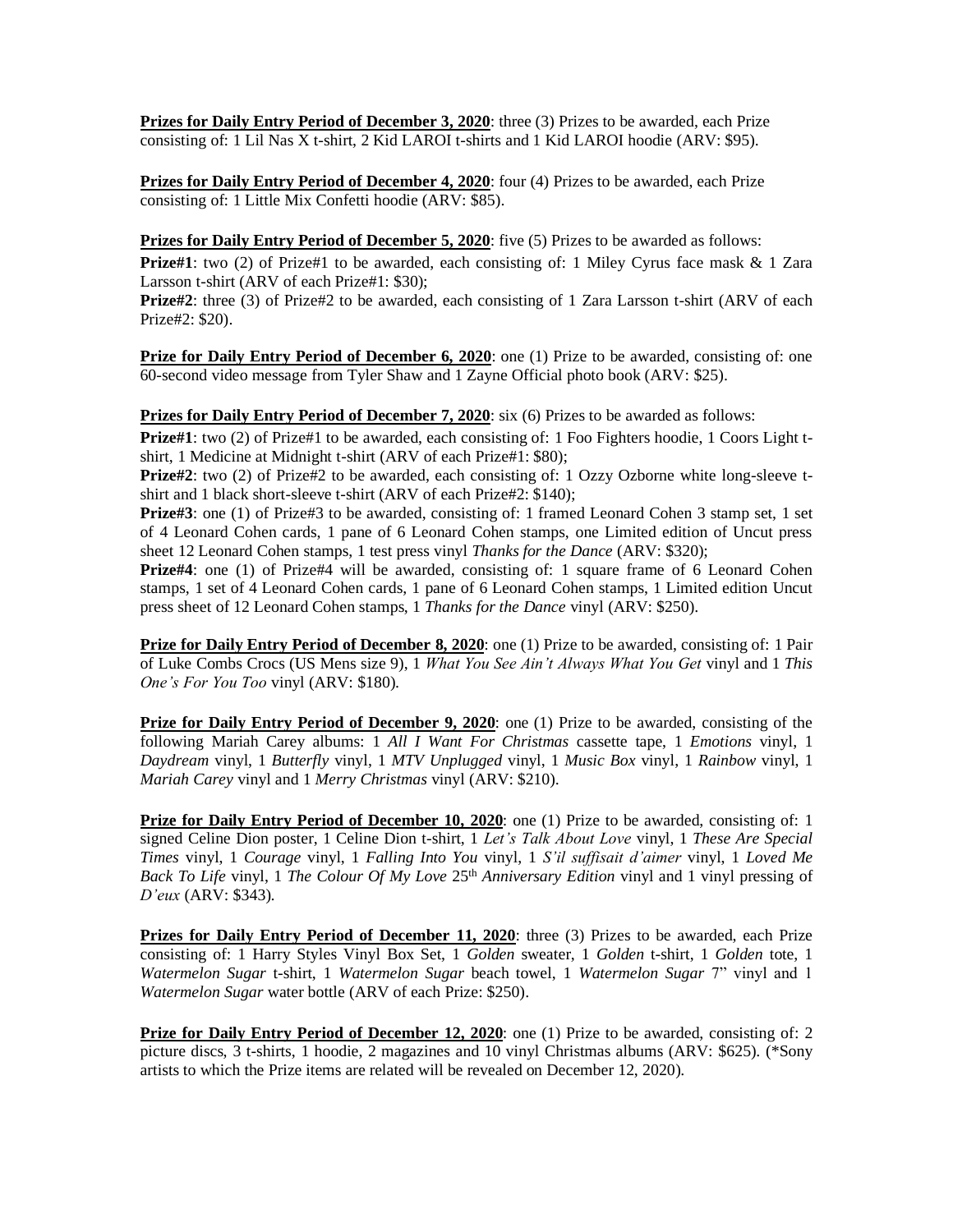**Prizes for Daily Entry Period of December 3, 2020:** three (3) Prizes to be awarded, each Prize consisting of: 1 Lil Nas X t-shirt, 2 Kid LAROI t-shirts and 1 Kid LAROI hoodie (ARV: \$95).

**Prizes for Daily Entry Period of December 4, 2020**: four (4) Prizes to be awarded, each Prize consisting of: 1 Little Mix Confetti hoodie (ARV: \$85).

**Prizes for Daily Entry Period of December 5, 2020**: five (5) Prizes to be awarded as follows:

**Prize#1**: two (2) of Prize#1 to be awarded, each consisting of: 1 Miley Cyrus face mask & 1 Zara Larsson t-shirt (ARV of each Prize#1: \$30);

**Prize#2**: three (3) of Prize#2 to be awarded, each consisting of 1 Zara Larsson t-shirt (ARV of each Prize#2: \$20).

**Prize for Daily Entry Period of December 6, 2020**: one (1) Prize to be awarded, consisting of: one 60-second video message from Tyler Shaw and 1 Zayne Official photo book (ARV: \$25).

**Prizes for Daily Entry Period of December 7, 2020:** six (6) Prizes to be awarded as follows:

**Prize#1**: two (2) of Prize#1 to be awarded, each consisting of: 1 Foo Fighters hoodie, 1 Coors Light tshirt, 1 Medicine at Midnight t-shirt (ARV of each Prize#1: \$80);

**Prize#2**: two (2) of Prize#2 to be awarded, each consisting of: 1 Ozzy Ozborne white long-sleeve tshirt and 1 black short-sleeve t-shirt (ARV of each Prize#2: \$140);

**Prize#3**: one (1) of Prize#3 to be awarded, consisting of: 1 framed Leonard Cohen 3 stamp set, 1 set of 4 Leonard Cohen cards, 1 pane of 6 Leonard Cohen stamps, one Limited edition of Uncut press sheet 12 Leonard Cohen stamps, 1 test press vinyl *Thanks for the Dance* (ARV: \$320);

**Prize#4**: one (1) of Prize#4 will be awarded, consisting of: 1 square frame of 6 Leonard Cohen stamps, 1 set of 4 Leonard Cohen cards, 1 pane of 6 Leonard Cohen stamps, 1 Limited edition Uncut press sheet of 12 Leonard Cohen stamps, 1 *Thanks for the Dance* vinyl (ARV: \$250).

**Prize for Daily Entry Period of December 8, 2020**: one (1) Prize to be awarded, consisting of: 1 Pair of Luke Combs Crocs (US Mens size 9), 1 *What You See Ain't Always What You Get* vinyl and 1 *This One's For You Too* vinyl (ARV: \$180).

**Prize for Daily Entry Period of December 9, 2020**: one (1) Prize to be awarded, consisting of the following Mariah Carey albums: 1 *All I Want For Christmas* cassette tape, 1 *Emotions* vinyl, 1 *Daydream* vinyl, 1 *Butterfly* vinyl, 1 *MTV Unplugged* vinyl, 1 *Music Box* vinyl, 1 *Rainbow* vinyl, 1 *Mariah Carey* vinyl and 1 *Merry Christmas* vinyl (ARV: \$210).

**Prize for Daily Entry Period of December 10, 2020**: one (1) Prize to be awarded, consisting of: 1 signed Celine Dion poster, 1 Celine Dion t-shirt, 1 *Let's Talk About Love* vinyl, 1 *These Are Special Times* vinyl, 1 *Courage* vinyl, 1 *Falling Into You* vinyl, 1 *S'il suffisait d'aimer* vinyl, 1 *Loved Me Back To Life* vinyl, 1 *The Colour Of My Love* 25<sup>th</sup> *Anniversary Edition* vinyl and 1 vinyl pressing of *D'eux* (ARV: \$343).

**Prizes for Daily Entry Period of December 11, 2020**: three (3) Prizes to be awarded, each Prize consisting of: 1 Harry Styles Vinyl Box Set, 1 *Golden* sweater, 1 *Golden* t-shirt, 1 *Golden* tote, 1 *Watermelon Sugar* t-shirt, 1 *Watermelon Sugar* beach towel, 1 *Watermelon Sugar* 7" vinyl and 1 *Watermelon Sugar* water bottle (ARV of each Prize: \$250).

**Prize for Daily Entry Period of December 12, 2020:** one (1) Prize to be awarded, consisting of: 2 picture discs, 3 t-shirts, 1 hoodie, 2 magazines and 10 vinyl Christmas albums (ARV: \$625). (\*Sony artists to which the Prize items are related will be revealed on December 12, 2020).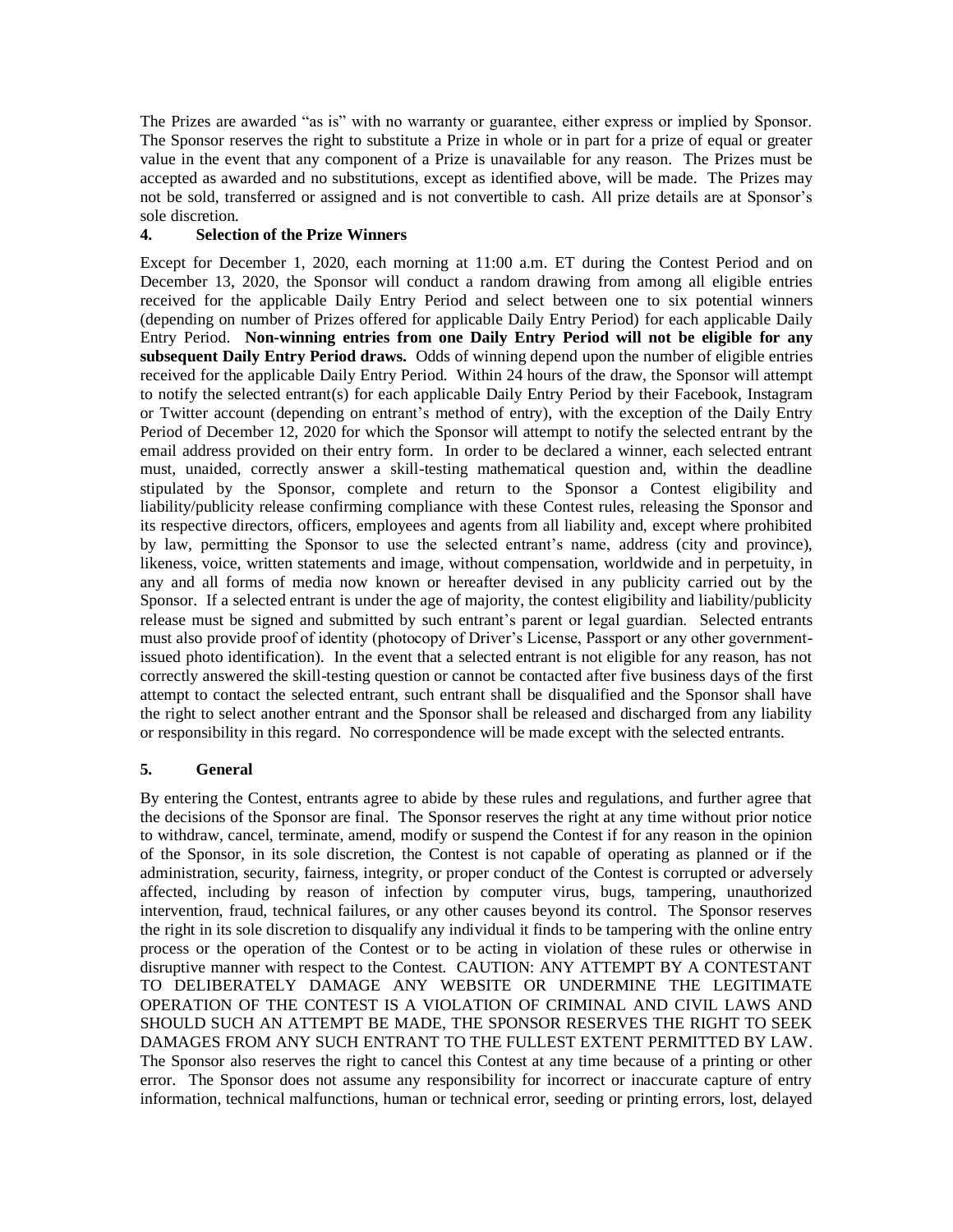The Prizes are awarded "as is" with no warranty or guarantee, either express or implied by Sponsor. The Sponsor reserves the right to substitute a Prize in whole or in part for a prize of equal or greater value in the event that any component of a Prize is unavailable for any reason. The Prizes must be accepted as awarded and no substitutions, except as identified above, will be made. The Prizes may not be sold, transferred or assigned and is not convertible to cash. All prize details are at Sponsor's sole discretion.

## **4. Selection of the Prize Winners**

Except for December 1, 2020, each morning at 11:00 a.m. ET during the Contest Period and on December 13, 2020, the Sponsor will conduct a random drawing from among all eligible entries received for the applicable Daily Entry Period and select between one to six potential winners (depending on number of Prizes offered for applicable Daily Entry Period) for each applicable Daily Entry Period. **Non-winning entries from one Daily Entry Period will not be eligible for any subsequent Daily Entry Period draws.** Odds of winning depend upon the number of eligible entries received for the applicable Daily Entry Period. Within 24 hours of the draw, the Sponsor will attempt to notify the selected entrant(s) for each applicable Daily Entry Period by their Facebook, Instagram or Twitter account (depending on entrant's method of entry), with the exception of the Daily Entry Period of December 12, 2020 for which the Sponsor will attempt to notify the selected entrant by the email address provided on their entry form. In order to be declared a winner, each selected entrant must, unaided, correctly answer a skill-testing mathematical question and, within the deadline stipulated by the Sponsor, complete and return to the Sponsor a Contest eligibility and liability/publicity release confirming compliance with these Contest rules, releasing the Sponsor and its respective directors, officers, employees and agents from all liability and, except where prohibited by law, permitting the Sponsor to use the selected entrant's name, address (city and province), likeness, voice, written statements and image, without compensation, worldwide and in perpetuity, in any and all forms of media now known or hereafter devised in any publicity carried out by the Sponsor. If a selected entrant is under the age of majority, the contest eligibility and liability/publicity release must be signed and submitted by such entrant's parent or legal guardian. Selected entrants must also provide proof of identity (photocopy of Driver's License, Passport or any other governmentissued photo identification). In the event that a selected entrant is not eligible for any reason, has not correctly answered the skill-testing question or cannot be contacted after five business days of the first attempt to contact the selected entrant, such entrant shall be disqualified and the Sponsor shall have the right to select another entrant and the Sponsor shall be released and discharged from any liability or responsibility in this regard. No correspondence will be made except with the selected entrants.

# **5. General**

By entering the Contest, entrants agree to abide by these rules and regulations, and further agree that the decisions of the Sponsor are final. The Sponsor reserves the right at any time without prior notice to withdraw, cancel, terminate, amend, modify or suspend the Contest if for any reason in the opinion of the Sponsor, in its sole discretion, the Contest is not capable of operating as planned or if the administration, security, fairness, integrity, or proper conduct of the Contest is corrupted or adversely affected, including by reason of infection by computer virus, bugs, tampering, unauthorized intervention, fraud, technical failures, or any other causes beyond its control. The Sponsor reserves the right in its sole discretion to disqualify any individual it finds to be tampering with the online entry process or the operation of the Contest or to be acting in violation of these rules or otherwise in disruptive manner with respect to the Contest. CAUTION: ANY ATTEMPT BY A CONTESTANT TO DELIBERATELY DAMAGE ANY WEBSITE OR UNDERMINE THE LEGITIMATE OPERATION OF THE CONTEST IS A VIOLATION OF CRIMINAL AND CIVIL LAWS AND SHOULD SUCH AN ATTEMPT BE MADE, THE SPONSOR RESERVES THE RIGHT TO SEEK DAMAGES FROM ANY SUCH ENTRANT TO THE FULLEST EXTENT PERMITTED BY LAW. The Sponsor also reserves the right to cancel this Contest at any time because of a printing or other error. The Sponsor does not assume any responsibility for incorrect or inaccurate capture of entry information, technical malfunctions, human or technical error, seeding or printing errors, lost, delayed